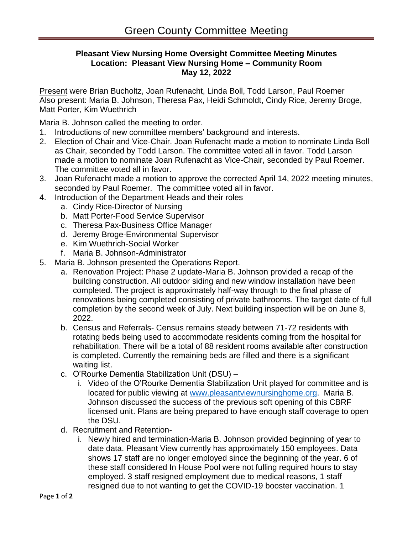## **Pleasant View Nursing Home Oversight Committee Meeting Minutes Location: Pleasant View Nursing Home – Community Room May 12, 2022**

Present were Brian Bucholtz, Joan Rufenacht, Linda Boll, Todd Larson, Paul Roemer Also present: Maria B. Johnson, Theresa Pax, Heidi Schmoldt, Cindy Rice, Jeremy Broge, Matt Porter, Kim Wuethrich

Maria B. Johnson called the meeting to order.

- 1. Introductions of new committee members' background and interests.
- 2. Election of Chair and Vice-Chair. Joan Rufenacht made a motion to nominate Linda Boll as Chair, seconded by Todd Larson. The committee voted all in favor. Todd Larson made a motion to nominate Joan Rufenacht as Vice-Chair, seconded by Paul Roemer. The committee voted all in favor.
- 3. Joan Rufenacht made a motion to approve the corrected April 14, 2022 meeting minutes, seconded by Paul Roemer. The committee voted all in favor.
- 4. Introduction of the Department Heads and their roles
	- a. Cindy Rice-Director of Nursing
	- b. Matt Porter-Food Service Supervisor
	- c. Theresa Pax-Business Office Manager
	- d. Jeremy Broge-Environmental Supervisor
	- e. Kim Wuethrich-Social Worker
	- f. Maria B. Johnson-Administrator
- 5. Maria B. Johnson presented the Operations Report.
	- a. Renovation Project: Phase 2 update-Maria B. Johnson provided a recap of the building construction. All outdoor siding and new window installation have been completed. The project is approximately half-way through to the final phase of renovations being completed consisting of private bathrooms. The target date of full completion by the second week of July. Next building inspection will be on June 8, 2022.
	- b. Census and Referrals- Census remains steady between 71-72 residents with rotating beds being used to accommodate residents coming from the hospital for rehabilitation. There will be a total of 88 resident rooms available after construction is completed. Currently the remaining beds are filled and there is a significant waiting list.
	- c. O'Rourke Dementia Stabilization Unit (DSU)
		- i. Video of the O'Rourke Dementia Stabilization Unit played for committee and is located for public viewing at [www.pleasantviewnursinghome.org.](http://www.pleasantviewnursinghome.org/) Maria B. Johnson discussed the success of the previous soft opening of this CBRF licensed unit. Plans are being prepared to have enough staff coverage to open the DSU.
	- d. Recruitment and Retention
		- i. Newly hired and termination-Maria B. Johnson provided beginning of year to date data. Pleasant View currently has approximately 150 employees. Data shows 17 staff are no longer employed since the beginning of the year. 6 of these staff considered In House Pool were not fulling required hours to stay employed. 3 staff resigned employment due to medical reasons, 1 staff resigned due to not wanting to get the COVID-19 booster vaccination. 1